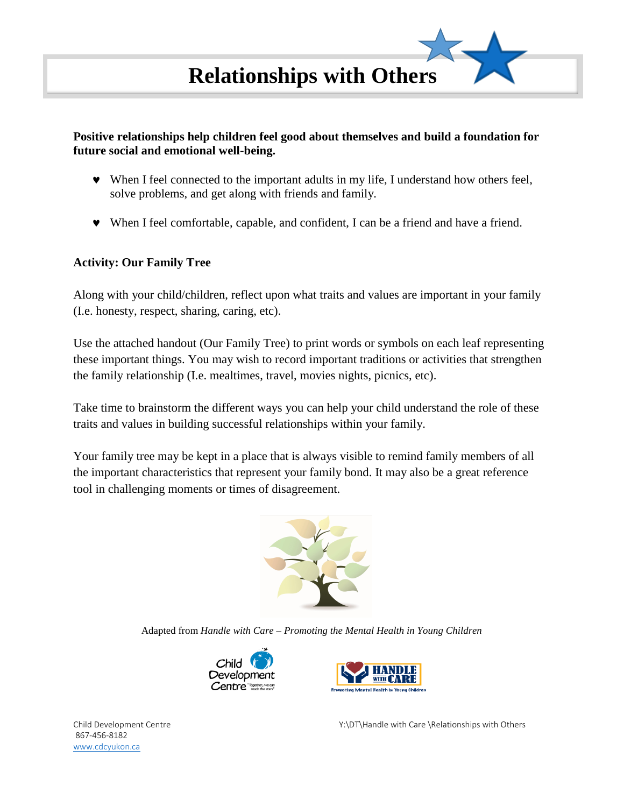

## **Positive relationships help children feel good about themselves and build a foundation for future social and emotional well-being.**

- When I feel connected to the important adults in my life, I understand how others feel, solve problems, and get along with friends and family.
- When I feel comfortable, capable, and confident, I can be a friend and have a friend.

## **Activity: Our Family Tree**

Along with your child/children, reflect upon what traits and values are important in your family (I.e. honesty, respect, sharing, caring, etc).

Use the attached handout (Our Family Tree) to print words or symbols on each leaf representing these important things. You may wish to record important traditions or activities that strengthen the family relationship (I.e. mealtimes, travel, movies nights, picnics, etc).

Take time to brainstorm the different ways you can help your child understand the role of these traits and values in building successful relationships within your family.

Your family tree may be kept in a place that is always visible to remind family members of all the important characteristics that represent your family bond. It may also be a great reference tool in challenging moments or times of disagreement.



Adapted from *Handle with Care – Promoting the Mental Health in Young Children*





867-456-8182 [www.cdcyukon.ca](http://www.cdcyukon.ca/)

Child Development Centre Y:\DT\Handle with Care \Relationships with Others